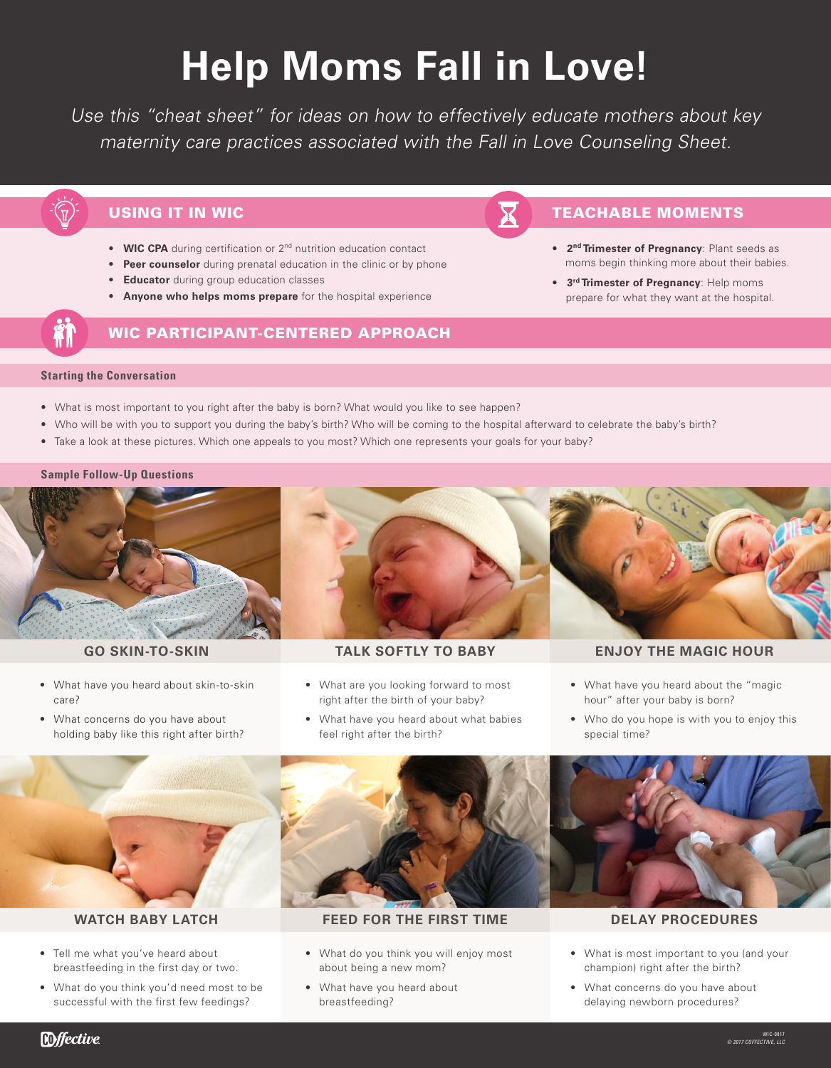# **Help Moms Fall in Love!**

Use this "cheat sheet" for ideas on how to effectively educate mothers about key maternity care practices associated with the Fall in Love Counseling Sheet.

# USING IT IN WIC **TEACHABLE MOMENTS**

- **WIC CPA** during certification or 2<sup>nd</sup> nutrition education contact
- **Peer counselor** during prenatal education in the clinic or by phone
- **Educator** during group education classes
- **Anyone who helps moms prepare** for the hospital experience

# WIC PARTICIPANT-CENTERED APPROACH

- **2nd Trimester of Pregnancy**: Plant seeds as moms begin thinking more about their babies.
- **3rd Trimester of Pregnancy**: Help moms prepare for what they want at the hospital.

### **Starting the Conversation**

- What is most important to you right after the baby is born? What would you like to see happen?
- Who will be with you to support you during the baby's birth? Who will be coming to the hospital afterward to celebrate the baby's birth?
- Take a look at these pictures. Which one appeals to you most? Which one represents your goals for your baby?

### **Sample Follow-Up Questions**



- What have you heard about skin-to-skin care?
- What concerns do you have about holding baby like this right after birth?



- What are you looking forward to most right after the birth of your baby?
- What have you heard about what babies feel right after the birth?



## **GO SKIN-TO-SKIN TALK SOFTLY TO BABY ENJOY THE MAGIC HOUR**

- What have you heard about the "magic hour" after your baby is born?
- Who do you hope is with you to enjoy this special time?



- Tell me what you've heard about breastfeeding in the first day or two.
- What do you think you'd need most to be successful with the first few feedings?



# **WATCH BABY LATCH FEED FOR THE FIRST TIME DELAY PROCEDURES**

- What do you think you will enjoy most about being a new mom?
- What have you heard about breastfeeding?



- What is most important to you (and your champion) right after the birth?
- What concerns do you have about delaying newborn procedures?